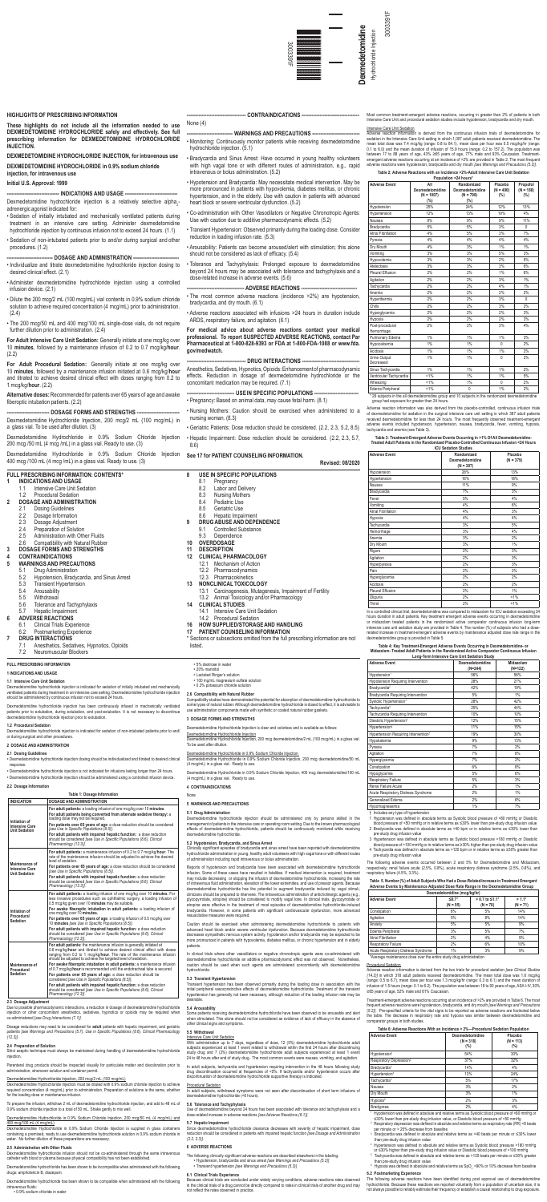

# **FULL PRESCRIBING INFORMATION**

# **1 INDICATIONS AND USAGE**

Dexmedetomidine hydrochloride injection has been continuously infused in mechanically ventilated patients prior to extubation, during extubation, and post-extubation. It is not necessary to discontinue<br>dexmedetomidine hydrochloride injection prior to extubation.

**1.1 Intensive Care Unit Sedation** Dexmedetomidine hydrochloride injection is indicated for sedation of initially intubated and mechanically ventilated patients during treatment in an intensive care setting. Dexmedetomidine hydrochloride injection should be administered by continuous infusion not to exceed 24 hours.

### **1.2 Procedural Sedation**

Dexmedetomidine hydrochloride injection is indicated for sedation of non-intubated patients prior to and/ or during surgical and other procedures.

### **2 DOSAGE AND ADMINISTRATION**

### **2.1 Dosing Guidelines**

• Dexmedetomidine hydrochloride injection dosing should be individualized and titrated to desired clinical response.

• Dexmedetomidine hydrochloride injection is not indicated for infusions lasting longer than 24 hours. • Dexmedetomidine hydrochloride injection should be administered using a controlled infusion device.

### **2.2 Dosage Information**

.<br>eptic technique must always be maintained during handling of dexmedetomidine hydrochloride injection.

Dexmedetomidine Hydrochloride Injection must be diluted with 0.9% sodium chloride injection to achieve quired concentration (4 mcg/mL) prior to administration. Preparation of solutions is the same, whether for the loading dose or maintenance inf

### **Table 1: Dosage Information INDICATION DOSAGE AND ADMINISTRATION Initiation of Intensive Care Unit Sedation For adult patients:** a loading infusion of one mcg/kg over 10 **minutes**. **For adult patients being converted from alternate sedative therapy:** a loading dose may not be required. **For patients over 65 years of age**: a dose reduction should be considered *[see Use in Specific Populations (8.5)]*. **For adult patients with impaired hepatic function:** a dose reduction should be considered *[see Use in Specific Populations (8.6), Clinical Pharmacology (12.3)].* **Maintenance of Intensive Ca Unit Sedation For adult patients:** a maintenance infusion of 0.2 to 0.7 mcg/kg/**hour**. The rate of the maintenance infusion should be adjusted to achieve the desired level of sedation. **For patients over 65 years of age:** a dose reduction should be considered *[see Use in Specific Populations (8.5)].* **For adult patients with impaired hepatic function:** a dose reduction should be considered *[see Use in Specific Populations (8.6), Clinical Pharmacology (12.3)]*. **Initiation of Procedural Sedation For adult patients:** a loading infusion of one mcg/kg over 10 **minutes.** For<br>less invasive procedures such as ophthalmic surgery, a loading infusion of<br>0.5 mcg/kg given over 10 **minutes** may be suitable. **For awake fiberoptic intubation in adult patients:** a loading infusion of one mcg/kg over 10 **minutes. For patients over 65 years of age**: a loading infusion of 0.5 mcg/kg over 10 **minutes** *[see Use in Specific Populations (8.5)].* **For adult patients with impaired hepatic function:** a dose reduction should be considered *[see Use in Specific Populations (8.6), Clinical Pharmacology (12.3)]*. **Maintenance of Procedural Sedation For adult patients:** the maintenance infusion is generally initiated at 0.6 mcg/kg/**hour** and titrated to achieve desired clinical effect with doses<br>ranging from 0.2 to 1 mcg/kg/**hour**. The rate of the maintenance infusion<br>should be adjusted to achieve the targeted level of sedation. **For awake fiberoptic intubation in adult patients:** a maintenance infusion of 0.7 mcg/kg/**hour** is recommended until the endotracheal tube is secured. **For patients over 65 years of age:** a dose reduction should be considered *[see Use in Specific Populations (8.5)].* **For adult patients with impaired hepatic function:** a dose reduction should be considered *[see Use in Specific Populations (8.6), Clinical Pharmacology (12.3)]*.

idine hydrochloride has been shown to be compatible when administered with the following intravenous fluids: • 0.9% sodium chloride in water

### **2.3 Dosage Adjustment**

Due to possible pharmacodynamic interactions, a reduction in dosage of dexmedetomidine hydrochloride or other concomitant anesthetics, sedatives, hypnotics or opioids may be required when co-administered *[see Drug Interactions (7.1)]*.

Dosage reductions may need to be considered for **adult** patients with hepatic impairment, and geriatric patients *[see Warnings and Precautions (5.7), Use in Specific Populations (8.6), Clinical Pharmacology (12.3)]*.

# **2.4 Preparation of Solution**

Parenteral drug products should be inspected visually for particulate matter and discoloration prior to administration, whenever solution and container permit.

### Dexmedetomidine Hydrochloride Injection, 200 mcg/2 mL (100 mcg/mL)

To prepare the infusion, withdraw 2 mL of dexmedetomidine hydrochloride injection, and add to 48 mL of 0.9% sodium chloride injection to a total of 50 mL. Shake gently to mix well.

Dexmedetomidine Hydrochloride in 0.9% Sodium Chloride Injection, 200 mcg/50 mL (4 mcg/mL) and 400 mcg/100 mL (4 mcg/mL)

1 Hypotension was defined in absolute terms as Systolic blood pressure of <80 mmHg or Diastolic od pressure of <50 mmHg or in relative terms as ≤30% lower than pre-study drug infusion value

Dexmedetomidine Hydrochloride in 0.9% Sodium Chloride Injection is supplied in glass containers containing a premixed, ready to use dexmedetomidine hydrochloride solution in 0.9% sodium chloride in water. No further dilution of these preparations are necessary.

2 Bradycardia was defined in absolute terms as <40 bpm or in relative terms as ≤30% low pre-study drug infusion value

## **2.5 Administration with Other Fluids**

Dexmedetomidine hydrochloride infusion should not be co-administered through the same intravenous catheter with blood or plasma because physical compatibility has not been established.

Dexmedetomidine hydrochloride has been shown to be incompatible when administered with the following drugs: amphotericin B, diazepam.

Most common treatment-emergent adverse reactions, occurring in greater than 2% of patients in both Intensive Care Unit and procedural sedation studies include hypotension, bradycardia and dry mouth.

# Intensive Care Unit Sedation

Treatment-emergent adverse reactions occurring at an incidence of >2% are provided in Table 6. The most frequent adverse reactions were hypotension, bradycardia, and dry mouth *[see Warnings and Precautions*  Pre-specified criteria for the vital signs to be reported as adverse reactions are footnoted below the table. The decrease in respiratory rate and hypoxia was similar between dexmedetomidine and comparator groups in both studies

Adverse reaction information is derived from the continuous infusion trials of dexmedetomidine for sedation in the Intensive Care Unit setting in which 1,007 adult patients received dexmedetomidine. The mean total dose was 7.4 mcg/kg (range: 0.8 to 84.1), mean dose per hour was 0.5 mcg/kg/hr (range: 0.1 to 6.0) and the mean duration of infusion of 15.9 hours (range: 0.2 to 157.2). The population was<br>between 17 to 88 years of age, 43% ≥65 years of age, 77% male and 93% Caucasian. Treatment-<br>emergent adverse reactions o adverse reactions were hypotension, bradycardia and dry mouth *[see Warnings and Precautions (5.2)]*.

| Table 2: Adverse Reactions with an Incidence >2%-Adult Intensive Care Unit Sedation |
|-------------------------------------------------------------------------------------|
| Population <24 hours*                                                               |

The following adverse reactions have been identified during post approval use of dexmedetomi hydrochloride. Because these reactions are reported voluntarily from a population of uncertain size, it is not always possible to reliably estimate their frequency or establish a causal relationship to drug exposure.

| <b>Adverse Event</b>                                                                             | All<br>Dexmedetomidine<br>$(N = 1007)$<br>(%) | Randomized<br>Dexmedetomidine<br>$(N = 798)$<br>(%) | Placebo<br>$(N = 400)$<br>(%) | Propofol<br>$(N = 188)$<br>(%) |
|--------------------------------------------------------------------------------------------------|-----------------------------------------------|-----------------------------------------------------|-------------------------------|--------------------------------|
| Hypotension                                                                                      | 25%                                           | 24%                                                 | 12%                           | 13%                            |
| Hypertension                                                                                     | 12%                                           | 13%                                                 | 19%                           | 4%                             |
| Nausea                                                                                           | 9%                                            | 9%                                                  | 9%                            | 11%                            |
| Bradycardia                                                                                      | 5%                                            | 5%                                                  | 3%                            | $\mathbf{0}$                   |
| <b>Atrial Fibrillation</b>                                                                       | 4%                                            | 5%                                                  | 3%                            | 7%                             |
| Pyrexia                                                                                          | 4%                                            | 4%                                                  | 4%                            | 4%                             |
| Dry Mouth                                                                                        | 4%                                            | 3%                                                  | 1%                            | 1%                             |
| Vomitina                                                                                         | 3%                                            | 3%                                                  | 5%                            | 3%                             |
| Hypovolemia                                                                                      | 3%                                            | 3%                                                  | 2%                            | 5%                             |
| Atelectasis                                                                                      | 3%                                            | 3%                                                  | 3%                            | 6%                             |
| Pleural Effusion                                                                                 | 2%                                            | 2%                                                  | 1%                            | 6%                             |
| Agitation                                                                                        | 2%                                            | 2%                                                  | 3%                            | 1%                             |
| Tachycardia                                                                                      | 2%                                            | 2%                                                  | 4%                            | 1%                             |
| Anemia                                                                                           | 2%                                            | 2%                                                  | 2%                            | 2%                             |
| Hyperthermia                                                                                     | 2%                                            | 2%                                                  | 3%                            | $\Omega$                       |
| Chills                                                                                           | 2%                                            | 2%                                                  | 3%                            | 2%                             |
| Hyperglycemia                                                                                    | 2%                                            | 2%                                                  | 2%                            | 3%                             |
| Hypoxia                                                                                          | 2%                                            | 2%                                                  | 2%                            | 3%                             |
| Post-procedural<br>Hemorrhage                                                                    | 2%                                            | 2%                                                  | 3%                            | 4%                             |
| Pulmonary Edema                                                                                  | 1%                                            | 1%                                                  | 1%                            | 3%                             |
| Hypocalcemia                                                                                     | 1%                                            | 1%                                                  | $\Omega$                      | 2%                             |
| Acidosis                                                                                         | 1%                                            | 1%                                                  | 1%                            | 2%                             |
| Urine Output<br>Decreased                                                                        | 1%                                            | 1%                                                  | $\Omega$                      | 2%                             |
| Sinus Tachycardia                                                                                | 1%                                            | 1%                                                  | 1%                            | 2%                             |
| Ventricular Tachycardia                                                                          | $< 1\%$                                       | 1%                                                  | 1%                            | 5%                             |
| Wheezing                                                                                         | $< 1\%$                                       | 1%                                                  | $\mathbf{0}$                  | 2%                             |
| Edema Peripheral                                                                                 | $< 1\%$                                       | $\theta$                                            | 1%                            | 2%                             |
| * 26 subjects in the all dexmedetomidine group and 10 subjects in the randomized dexmedetomidine |                                               |                                                     |                               |                                |

Dexmedetomidine hydrochloride injection is a relatively selective alpha<sub>2</sub>adrenergic agonist indicated for:

group had exposure for greater than 24 hours.

Adverse reaction information was also derived from the placebo-controlled, continuous infusion trials of dexmedetomidine for sedation in the surgical intensive care unit setting in which 387 adult patients received dexmedetomidine for less than 24 hours. The most frequently observed treatment-emergent adverse events included hypotension, hypertension, nausea, bradycardia, fever, vomiting, hypoxia, tachycardia and anemia (see Table 3).

--- DOSAGE FORMS AND STRENGTHS ---Dexmedetomidine Hydrochloride Injection, 200 mcg/2 mL (100 mcg/mL) in a glass vial. To be used after dilution. (3)

### **Table 3: Treatment-Emergent Adverse Events Occurring in >1% Of All Dexmedetomidine-Treated Adult Patients in the Randomized Placebo-Controlled Continuous Infusion <24 Hours ICU Sedation Studies**

--- CONTRAINDICATIONS ----None (4)

# - WARNINGS AND PRECAUTIONS -----

| <b>Adverse Event</b>       | Randomized<br>Dexmedetomidine<br>$(N = 387)$ | Placebo<br>$(N = 379)$ |
|----------------------------|----------------------------------------------|------------------------|
| Hypotension                | 28%                                          | 13%                    |
| Hypertension               | 16%                                          | 18%                    |
| Nausea                     | 11%                                          | 9%                     |
| Bradycardia                | 7%                                           | 3%                     |
| Fever                      | 5%                                           | 4%                     |
| Vomiting                   | 4%                                           | 6%                     |
| <b>Atrial Fibrillation</b> | 4%                                           | 3%                     |
| Hypoxia                    | 4%                                           | 4%                     |
| Tachycardia                | 3%                                           | 5%                     |
| Hemorrhage                 | 3%                                           | 4%                     |
| Anemia                     | 3%                                           | 2%                     |
| Dry Mouth                  | 3%                                           | $1\%$                  |
| Rigors                     | 2%                                           | 3%                     |
| Agitation                  | 2%                                           | 3%                     |
| Hyperpyrexia               | 2%                                           | 3%                     |
| Pain                       | 2%                                           | 2%                     |
| Hyperglycemia              | 2%                                           | 2%                     |
| Acidosis                   | 2%                                           | 2%                     |
| <b>Pleural Effusion</b>    | 2%                                           | $1\%$                  |
| Oliguria                   | 2%                                           | $< 1\%$                |
| Thirst                     | 2%                                           | $< 1\%$                |

In a controlled clinical trial, dexmedetomidine was compared to midazolam for ICU sedation exceeding 24 hours duration in adult patients. Key treatment emergent adverse events occurring in dexmedetomi or midazolam treated patients in the randomized active comparator continuous infusion long-term intensive care unit sedation study are provided in Table 4. The number (%) of subjects who had a doserelated increase in treatment-emergent adverse events by maintenance adjusted dose rate range in the dexmedetomidine group is provided in Table 5.

Anesthetics, Sedatives, Hypnotics, Opioids: Enhancement of pharmacodynamic effects. Reduction in dosage of dexmedetomidine hydrochloride or the concomitant medication may be required. (7.1)

**--- USE IN SPECIFIC POPULATIONS ---**

# **Table 4: Key Treatment-Emergent Adverse Events Occurring in Dexmedetomidine- or Midazolam- Treated Adult Patients in the Randomized Active Comparator Continuous Infusion**

| Long-Term Intensive Care Unit Sedation Study     |                              |                        |  |  |
|--------------------------------------------------|------------------------------|------------------------|--|--|
| <b>Adverse Event</b>                             | Dexmedetomidine<br>$(N=244)$ | Midazolam<br>$(N=122)$ |  |  |
| Hypotension <sup>1</sup>                         | 56%                          | 56%                    |  |  |
| Hypotension Requiring Intervention               | 28%                          | 27%                    |  |  |
| Bradycardia <sup>2</sup>                         | 42%                          | 19%                    |  |  |
| Bradycardia Requiring Intervention               | 5%                           | 1%                     |  |  |
| Systolic Hypertension <sup>3</sup>               | 28%                          | 42%                    |  |  |
| Tachycardia <sup>4</sup>                         | 25%                          | 44%                    |  |  |
| Tachycardia Requiring Intervention               | 10%                          | 10%                    |  |  |
| Diastolic Hypertension <sup>3</sup>              | 12%                          | 15%                    |  |  |
| Hypertension <sup>3</sup>                        | 11%                          | 15%                    |  |  |
| Hypertension Requiring Intervention <sup>†</sup> | 19%                          | 30%                    |  |  |
| Hypokalemia                                      | 9%                           | 13%                    |  |  |
| Pyrexia                                          | 7%                           | 2%                     |  |  |
| Agitation                                        | 7%                           | 6%                     |  |  |
| Hyperglycemia                                    | 7%                           | 2%                     |  |  |
| Constipation                                     | 6%                           | 6%                     |  |  |
| Hypoglycemia                                     | 5%                           | 6%                     |  |  |
| Respiratory Failure                              | 5%                           | 3%                     |  |  |
| Renal Failure Acute                              | 2%                           | 1%                     |  |  |
| Acute Respiratory Distress Syndrome              | 2%                           | 1%                     |  |  |
| Generalized Edema                                | 2%                           | 6%                     |  |  |
| Hypomagnesemia                                   | 1%                           | 7%                     |  |  |
| .<br>$\sim$                                      |                              |                        |  |  |

Sections or subsections omitted from the full prescribing information are not listed.

Compatibility studies have demonstrated the potential for absorption of dexmedetomidine hydrochloride to some types of natural rubber. Although dexmedetomidine hydrochloride is dosed to effect, it is advisable to use administration components made with synthetic or coated natural rubber gaskets.

Dexmedetomidine Hydrochloride Injection, 200 mcg dexmedetomidine/2 mL (100 mcg/mL) in a glass vial. To be used after dilution.

<u>Dexmedetomidine Hydrochloride in 0.9% Sodium Chloride Injection.</u><br>Dexmedetomidine Hydrochloride in 0.9% Sodium Chloride Injection, 200 mcg dexmedetomidine/50 mL. (4 mcg/mL) in a glass vial. Ready to use.

- 3 Hypertension was defined in absolute terms as Systolic blood pressure >180 mmHg or Diastolic
- blood pressure of >100 mmHg or in relative terms as ≥30% higher than pre-study drug infusion value 4 Tachycardia was defined in absolute terms as >120 bpm or in relative terms as ≥30% greater than pre-study drug infusion value
- The following adverse events occurred between 2 and 5% for Dexmedetomidine and Mida respectively: renal failure acute (2.5%, 0.8%), acute respiratory distress syndrome (2.5%, 0.8%), and respiratory failure (4.5%, 3.3%).

### **Table 5. Number (%) of Adult Subjects Who Had a Dose-Related Increase in Treatment Emergent Adverse Events by Maintenance Adjusted Dose Rate Range in the Dexmedetomidine Group**

| Dexmedetomidine (mcg/kg/hr)         |                            |                                       |                        |  |
|-------------------------------------|----------------------------|---------------------------------------|------------------------|--|
| <b>Adverse Event</b>                | $\leq 0.7$ *<br>$(N = 95)$ | $> 0.7$ to $\leq 1.1$ *<br>$(N = 78)$ | $> 1.1*$<br>$(N = 71)$ |  |
| Constipation                        | 6%                         | 5%                                    | 14%                    |  |
| Agitation                           | 5%                         | 8%                                    | 14%                    |  |
| Anxiety                             | 5%                         | 5%                                    | 9%                     |  |
| Edema Peripheral                    | 3%                         | 5%                                    | 7%                     |  |
| <b>Atrial Fibrillation</b>          | 2%                         | 4%                                    | 9%                     |  |
| Respiratory Failure                 | 2%                         | 6%                                    | 10%                    |  |
| Acute Respiratory Distress Syndrome | $1\%$                      | 3%                                    | 9%                     |  |

\*Average maintenance dose over the entire study drug administration

# Procedural Sedation

Adverse reaction information is derived from the two trials for procedural sedation *[see Clinical Studies (14.2)]* in which 318 adult patients received dexmedetomidine. The mean total dose was 1.6 mcg/kg (range: 0.5 to 6.7), mean dose per hour was 1.3 mcg/kg/hr (range: 0.3 to 6.1) and the mean duration of infusion of 1.5 hours (range: 0.1 to 6.2). The population was between 18 to 93 years of age, ASA I-IV, 30% ≥65 years of age, 52% male and 61% Caucasian.

In clinical trials where other vasodilators or negative chronotropic agents were co-administered with dexmedetomidine hydrochloride an additive pharmacodynamic effect was not observed. Nonetheless, caution should be used when such agents are administered concomitantly with dexmedetomidine hydrochloride.

# **Table 6: Adverse Reactions With an Incidence > 2%—Procedural Sedation Population**

In adult subjects, tachycardia and hypertension requiring intervention in the 48 hours following study drug discontinuation occurred at frequencies of <5%. If tachycardia and/or hypertension occurs after discontinuation of dexmedetomidine hydrochloride supportive therapy is indicated.

Procedural Sedation<br>In adult subjects, withdrawal symptoms were not seen after discontinuation of short term infusions of<br>dexmedetomidine hydrochloride (<6 hours).

| <b>Adverse Event</b>                | Dexmedetomidine<br>$(N = 318)$<br>$(\%)$ | Placebo<br>$(N = 113)$<br>$(\%)$ |
|-------------------------------------|------------------------------------------|----------------------------------|
| Hypotension <sup>1</sup>            | 54%                                      | 30%                              |
| Respiratory Depression <sup>2</sup> | 37%                                      | 32%                              |
| Bradycardia <sup>3</sup>            | 14%                                      | 4%                               |
| Hypertension <sup>4</sup>           | 13%                                      | 24%                              |
| Tachycardia <sup>5</sup>            | 5%                                       | 17%                              |
| Nausea                              | 3%                                       | 2%                               |
| Dry Mouth                           | 3%                                       | 1%                               |
| Hypoxia <sup>6</sup>                | 2%                                       | 3%                               |
| Bradypnea                           | 2%                                       | 4%                               |

1 Hypotension was defined in absolute and relative terms as Systolic blood pressure of <80 mmHg or ≤30% lower than pre-study drug infusion value, or Diastolic blood pressure of <50 mmHg

- $\sin$  was defined in absolute and relative terms as respiratory rate (RR) <8 beats per minute or > 25% decrease from baseline
- 3 Bradycardia was defined in absolute and relative terms as <40 beats per minute or ≤30% lower
- than pre-study drug infusion value<br>Hypertension was defined in absolute and relative terms as Systolic blood pressure >180 mmHg 4
- or ≤30% higher than pre-study drug infusion value or Diastolic blood pressure of >100 mmHg 5 was defined in absolute and relative terms as >120 beats per minute or ≤30% greater
- than pre-study drug infusion value
- 6 Hypoxia was defined in absolute and relative terms as SpO $_2$  <90% or 10% decrease from baseline

### **6.2 Postmarketing Experience**

# **HIGHLIGHTS OF PRESCRIBING INFORMATION**

**These highlights do not include all the information needed to use DEXMEDETOMIDINE HYDROCHLORIDE safely and effectively. See full prescribing information for DEXMEDETOMIDINE HYDROCHLORIDE INJECTION.**

**DEXMEDETOMIDINE HYDROCHLORIDE INJECTION, for intravenous use**

**DEXMEDETOMIDINE HYDROCHLORIDE in 0.9% sodium chloride**

# **injection, for intravenous use**

# **Initial U.S. Approval: 1999**

# -- INDICATIONS AND USAGE --

- Sedation of initially intubated and mechanically ventilated patients during treatment in an intensive care setting. Administer dexmedetomidine hydrochloride injection by continuous infusion not to exceed 24 hours. (1.1)
- Sedation of non-intubated patients prior to and/or during surgical and other procedures. (1.2)

# -- DOSAGE AND ADMINISTRATION -

- Individualize and titrate dexmedetomidine hydrochloride injection dosing to desired clinical effect. (2.1)
- Administer dexmedetomidine hydrochloride injection using a controlled infusion device. (2.1)
- Dilute the 200 mcg/2 mL (100 mcg/mL) vial contents in 0.9% sodium chloride solution to achieve required concentration (4 mcg/mL) prior to administration. (2.4)
- The 200 mcg/50 mL and 400 mcg/100 mL single-dose vials, do not require further dilution prior to administration. (2.4)

**For Adult Intensive Care Unit Sedation:** Generally initiate at one mcg/kg over 10 **minutes**, followed by a maintenance infusion of 0.2 to 0.7 mcg/kg/**hour**. (2.2)

**For Adult Procedural Sedation:** Generally initiate at one mcg/kg over 10 **minutes**, followed by a maintenance infusion initiated at 0.6 mcg/kg/**hour**  and titrated to achieve desired clinical effect with doses ranging from 0.2 to 1 mcg/kg/**hour**. (2.2)

**Alternative doses:** Recommended for patients over 65 years of age and awake fiberoptic intubation patients. (2.2)

Dexmedetomidine Hydrochloride in 0.9% Sodium Chloride Injection 200 mcg /50 mL (4 mcg /mL) in a glass vial. Ready to use. (3)

Dexmedetomidine Hydrochloride in 0.9% Sodium Chloride Injection 400 mcg /100 mL (4 mcg /mL) in a glass vial. Ready to use. (3)

• Monitoring: Continuously monitor patients while receiving dexmedetomidine hydrochloride injection. (5.1)

• Bradycardia and Sinus Arrest: Have occurred in young healthy volunteers with high vagal tone or with different routes of administration, e.g., rapid intravenous or bolus administration. (5.2)

• Hypotension and Bradycardia: May necessitate medical intervention. May be more pronounced in patients with hypovolemia, diabetes mellitus, or chronic hypertension, and in the elderly. Use with caution in patients with advanced heart block or severe ventricular dysfunction. (5.2)

- Co-administration with Other Vasodilators or Negative Chronotropic Agents: Use with caution due to additive pharmacodynamic effects. (5.2)
- Transient Hypertension: Observed primarily during the loading dose. Consider reduction in loading infusion rate. (5.3)
- Arousability: Patients can become aroused/alert with stimulation; this alone should not be considered as lack of efficacy. (5.4)

• Tolerance and Tachyphylaxis: Prolonged exposure to dexmedetomidine beyond 24 hours may be associated with tolerance and tachyphylaxis and a dose-related increase in adverse events. (5.6)

### --- ADVERSE REACTIONS --

• The most common adverse reactions (incidence >2%) are hypotension, bradycardia, and dry mouth. (6.1)

• Adverse reactions associated with infusions >24 hours in duration include ARDS, respiratory failure, and agitation. (6.1)

**For medical advice about adverse reactions contact your medical professional. To report SUSPECTED ADVERSE REACTIONS, contact Par Pharmaceutical at 1-800-828-9393 or FDA at 1-800-FDA-1088 or www.fda. gov/medwatch.**

### -- DRUG INTERACTIONS **-**

• Pregnancy: Based on animal data, may cause fetal harm. (8.1)

• Nursing Mothers: Caution should be exercised when administered to a nursing woman. (8.3)

• Geriatric Patients: Dose reduction should be considered. (2.2, 2.3, 5.2, 8.5)

• Hepatic Impairment: Dose reduction should be considered. (2.2, 2.3, 5.7, 8.6)

**See 17 for PATIENT COUNSELING INFORMATION.**

|   |     | <b>FULL PRESCRIBING INFORMATION: CONTENTS*</b> |  |
|---|-----|------------------------------------------------|--|
| 1 |     | <b>INDICATIONS AND USAGE</b>                   |  |
|   | 11  | Intensive Care Unit Sedation                   |  |
|   |     | 1.2 Procedural Sedation                        |  |
| 2 |     | <b>DOSAGE AND ADMINISTRATION</b>               |  |
|   | 2.1 | Dosing Guidelines                              |  |
|   | 2.2 | Dosage Information                             |  |
|   | 2.3 | Dosage Adjustment                              |  |
|   | 2.4 | Preparation of Solution                        |  |
|   | 2.5 | Administration with Other Fluids               |  |
|   | 2.6 | Compatibility with Natural Rubber              |  |
| 3 |     | <b>DOSAGE FORMS AND STRENGTHS</b>              |  |
| 4 |     | <b>CONTRAINDICATIONS</b>                       |  |
| 5 |     | <b>WARNINGS AND PRECAUTIONS</b>                |  |
|   | 5.1 | Drug Administration                            |  |
|   | 5.2 | Hypotension, Bradycardia, and Sinus Arrest     |  |
|   | 5.3 | <b>Transient Hypertension</b>                  |  |
|   | 5.4 | Arousability                                   |  |
|   |     | 5.5 Withdrawal                                 |  |
|   |     | 5.6 Tolerance and Tachyphylaxis                |  |
|   | 5.7 | Hepatic Impairment                             |  |
| 6 |     | <b>ADVERSE REACTIONS</b>                       |  |
|   | 6.1 | <b>Clinical Trials Experience</b>              |  |
|   | 6.2 | Postmarketing Experience                       |  |
| 7 |     | <b>DRUG INTERACTIONS</b>                       |  |
|   | 7.1 | Anesthetics, Sedatives, Hypnotics, Opioids     |  |
|   | 79  | Neuromuscular Blockers                         |  |

|         | <b>Revised: 08/2020</b>                                   |
|---------|-----------------------------------------------------------|
| 8       | USE IN SPECIFIC POPULATIONS                               |
|         | 8.1<br>Pregnancy                                          |
|         | 8.2<br>Labor and Delivery                                 |
|         | 8.3<br><b>Nursing Mothers</b>                             |
|         | 8.4<br>Pediatric Use                                      |
|         | 8.5 Geriatric Use                                         |
|         | 8.6 Hepatic Impairment                                    |
| 9       | <b>DRUG ABUSE AND DEPENDENCE</b>                          |
|         | <b>Controlled Substance</b><br>91                         |
|         | 9.3<br>Dependence                                         |
| $10-10$ | <b>OVERDOSAGE</b>                                         |
|         | 11 DESCRIPTION                                            |
|         | 12 CLINICAL PHARMACOLOGY                                  |
|         | 12.1 Mechanism of Action                                  |
|         | 12.2 Pharmacodynamics                                     |
|         | 12.3 Pharmacokinetics                                     |
| 13      | <b>NONCLINICAL TOXICOLOGY</b>                             |
|         | 13.1 Carcinogenesis, Mutagenesis, Impairment of Fertility |
|         | 13.2 Animal Toxicology and/or Pharmacology                |
| 14      | <b>CLINICAL STUDIES</b>                                   |
|         | 14.1 Intensive Care Unit Sedation                         |
|         | 14.2 Procedural Sedation                                  |
| 16      | <b>HOW SUPPLIED/STORAGE AND HANDLING</b>                  |
| 17      | <b>PATIENT COUNSELING INFORMATION</b>                     |
|         |                                                           |

• 5% dextrose in water

- 20% mannitol
- Lactated Ringer's solution
- 100 mg/mL magnesium sulfate solution

• 0.3% potassium chloride solution

# **2.6 Compatibility with Natural Rubb**

### **3 DOSAGE FORMS AND STRENGTHS**

Dexmedetomidine Hydrochloride Injection is clear and colorless and is available as follows:

# Dexmedetomidine Hydrochloride Injection

Dexmedetomidine Hydrochloride in 0.9% Sodium Chloride Injection, 400 mcg dexmedetomidine/100 mL (4 mcg/mL) in a glass vial. Ready to use.

### **4 CONTRAINDICATIONS**

None

### **5 WARNINGS AND PRECAUTIONS**

### **5.1 Drug Administration**

Dexmedetomidine hydrochloride injection should be administered only by persons skilled in the management of patients in the intensive care or operating room setting. Due to the known pharmacol<br>management of patients in the intensive care or operating room setting. Due to the known pharmacol effects of dexmedetomidine hydrochloride, patients should be continuously monitored while receiving dexmedetomidine hydrochloride.

### **5.2 Hypotension, Bradycardia, and Sinus Arrest**

Clinically significant episodes of bradycardia and sinus arrest have been reported with dexmedetomidine hydrochloride administration in young, healthy adult volunteers with high vagal tone or with different routes of administration including rapid intravenous or bolus administration.

Reports of hypotension and bradycardia have been associated with dexmedetomidine hydrochloride infusion. Some of these cases have resulted in fatalities. If medical intervention is required, treatment may include decreasing or stopping the infusion of dexmedetomidine hydrochloride, increasing the rate of intravenous fluid administration, elevation of the lower extremities, and use of pressor agents. Because dexmedetomidine hydrochloride has the potential to augment bradycardia induced by vagal stimuli, clinicians should be prepared to intervene. The intravenous administration of anticholinergic agents (e.g., glycopyrrolate, atropine) should be considered to modify vagal tone. In clinical trials, glycopyrrolate or pine were effective in the treatment of most episodes of dexmedetomidine hydrochloride-induced bradycardia. However, in some patients with significant cardiovascular dysfunction, more advanced resuscitative measures were required.

Caution should be exercised when administering dexmedetomidine hydrochloride to patients with advanced heart block and/or severe ventricular dysfunction. Because dexmedetomidine hydrochloride decreases sympathetic nervous system activity, hypotension and/or bradycardia may be expected to be more pronounced in patients with hypovolemia, diabetes mellitus, or chronic hypertension and in elderly patients.

# **5.3 Transient Hypertension**

Transient hypertension has been observed primarily during the loading dose in association with the initial peripheral vasoconstrictive effects of dexmedetomidine hydrochloride. Treatment of the transient hypertension has generally not been necessary, although reduction of the loading infusion rate may be desirable.

**5.4 Arousability** iving dexmedetomidine hydrochloride have been observed to be arousable and alert when stimulated. This alone should not be considered as evidence of lack of efficacy in the absence of other clinical signs and symptoms.

### **5.5 Withdrawal** Intensive Care Unit Sedation

With administration up to  $\overline{7}$  days, regardless of dose, 12 (5%) dexmedetomidine hydrochloride adult subjects experienced at least 1 event related to withdrawal within the first 24 hours after discontinuing study drug and 7 (3%) dexmedetomidine hydrochloride adult subjects experienced at least 1 event 24 to 48 hours after end of study drug The most common events were nauseal vomiting, and agitation. end of study drug. The most common events were nausea, vomiting, and agitation.

# **5.6 Tolerance and Tachyphylaxis**

Use of dexmedetomidine beyond 24 hours has been associated with tolerance and tachyphylaxis and a dose-related increase in adverse reactions *[see Adverse Reactions (6.1)]*.

#### **5.7 Hepatic Impairment**

Since dexmedetomidine hydrochloride clearance decreases with severity of hepatic impairment, dose reduction should be considered in patients with impaired hepatic function *[see Dosage and Administration (2.2, 2.3)]*.

### **6 ADVERSE REACTIONS**

The following clinically significant adverse reactions are described elsewhere in the labeling: • Hypotension, bradycardia and sinus arrest *[see Warnings and Precautions (5.2)]* • Transient hypertension *[see Warnings and Precautions (5.3)]*

# **6.1 Clinical Trials Experience**

Because clinical trials are conducted under widely varying conditions, adverse reactions rates observed in the clinical trials of a drug cannot be directly compared to rates in clinical trials of another drug and may not reflect the rates observed in practice.

ncludes any type of hypertension